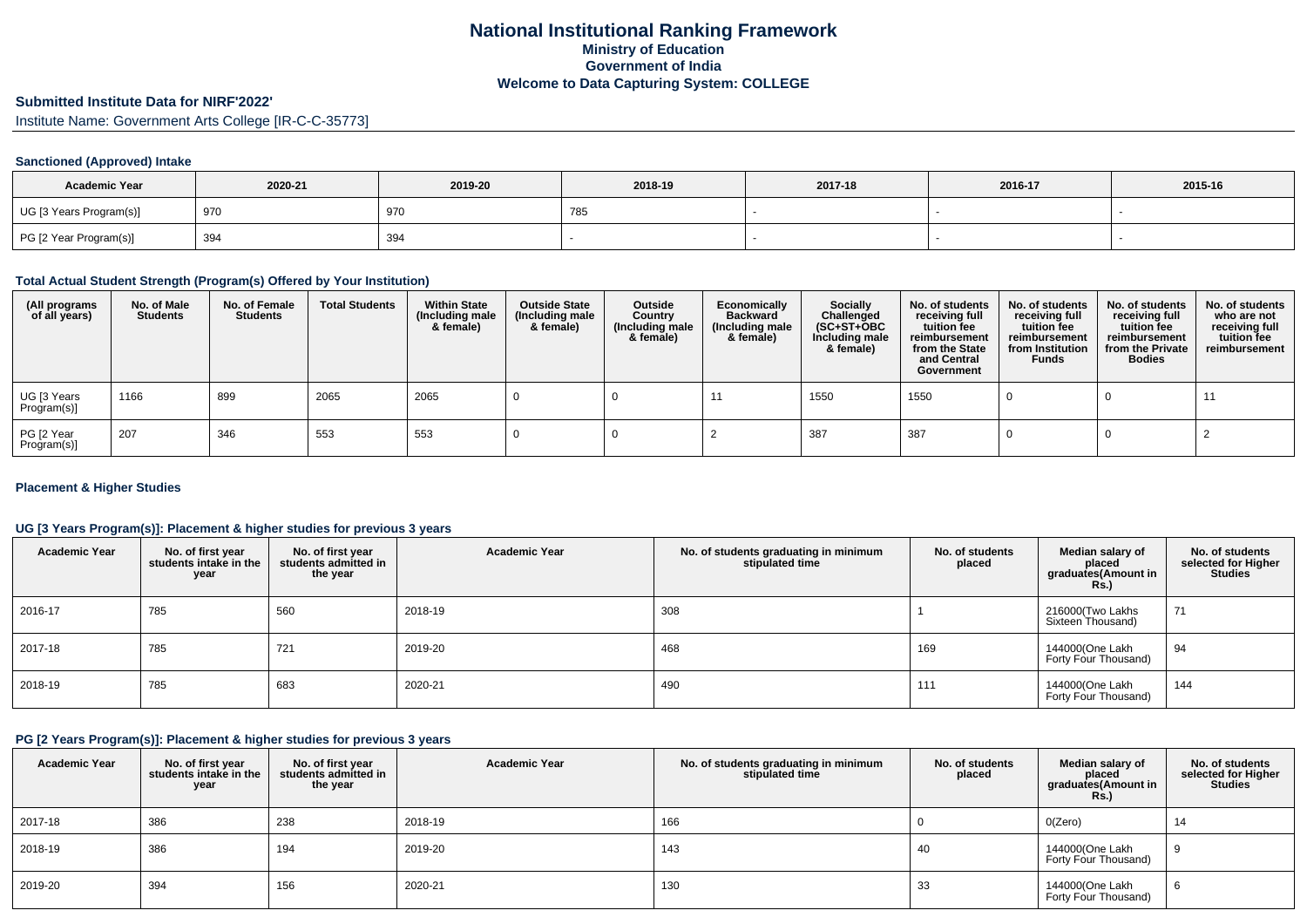# **Submitted Institute Data for NIRF'2022'**

Institute Name: Government Arts College [IR-C-C-35773]

# **Sanctioned (Approved) Intake**

| <b>Academic Year</b>    | 2020-21 | 2019-20 | 2018-19 | 2017-18 | 2016-17 | 2015-16 |
|-------------------------|---------|---------|---------|---------|---------|---------|
| UG [3 Years Program(s)] | 970     | 970     | 78.     |         |         |         |
| PG [2 Year Program(s)]  | 394     | 394     |         |         |         |         |

# **Total Actual Student Strength (Program(s) Offered by Your Institution)**

| (All programs<br>of all years) | No. of Male<br><b>Students</b> | No. of Female<br><b>Students</b> | <b>Total Students</b> | <b>Within State</b><br>(Including male<br>& female) | <b>Outside State</b><br>(Including male<br>& female) | Outside<br>Country<br>(Including male<br>& female) | Economically<br><b>Backward</b><br>(Including male<br>& female) | <b>Socially</b><br>Challenged<br>$(SC+ST+OBC)$<br>Including male<br>& female) | No. of students<br>receiving full<br>tuition fee<br>reimbursement<br>from the State<br>and Central<br>Government | No. of students<br>receiving full<br>tuition fee<br>reimbursement<br>from Institution<br><b>Funds</b> | No. of students<br>receiving full<br>tuition fee<br>reimbursement<br>from the Private<br><b>Bodies</b> | No. of students<br>who are not<br>receiving full<br>tuition fee<br>reimbursement |
|--------------------------------|--------------------------------|----------------------------------|-----------------------|-----------------------------------------------------|------------------------------------------------------|----------------------------------------------------|-----------------------------------------------------------------|-------------------------------------------------------------------------------|------------------------------------------------------------------------------------------------------------------|-------------------------------------------------------------------------------------------------------|--------------------------------------------------------------------------------------------------------|----------------------------------------------------------------------------------|
| UG [3 Years<br>Program(s)]     | 1166                           | 899                              | 2065                  | 2065                                                |                                                      |                                                    |                                                                 | 1550                                                                          | 1550                                                                                                             |                                                                                                       |                                                                                                        |                                                                                  |
| PG [2 Year<br>Program(s)]      | 207                            | 346                              | 553                   | 553                                                 |                                                      |                                                    |                                                                 | 387                                                                           | 387                                                                                                              |                                                                                                       |                                                                                                        |                                                                                  |

# **Placement & Higher Studies**

# **UG [3 Years Program(s)]: Placement & higher studies for previous 3 years**

| <b>Academic Year</b> | No. of first year<br>students intake in the<br>year | No. of first year<br>students admitted in<br>the year | <b>Academic Year</b> | No. of students graduating in minimum<br>stipulated time | No. of students<br>placed | Median salary of<br>placed<br>graduates(Amount in<br><b>Rs.)</b> | No. of students<br>selected for Higher<br><b>Studies</b> |
|----------------------|-----------------------------------------------------|-------------------------------------------------------|----------------------|----------------------------------------------------------|---------------------------|------------------------------------------------------------------|----------------------------------------------------------|
| 2016-17              | 785                                                 | 560                                                   | 2018-19              | 308                                                      |                           | 216000(Two Lakhs<br>Sixteen Thousand)                            | 71                                                       |
| 2017-18              | 785                                                 | 721                                                   | 2019-20              | 468                                                      | 169                       | 144000(One Lakh<br>Forty Four Thousand)                          | 94                                                       |
| 2018-19              | 785                                                 | 683                                                   | 2020-21              | 490                                                      | 111                       | 144000(One Lakh<br>Forty Four Thousand)                          | 144                                                      |

# **PG [2 Years Program(s)]: Placement & higher studies for previous 3 years**

| <b>Academic Year</b> | No. of first year<br>students intake in the<br>year | No. of first year<br>students admitted in<br>the year | <b>Academic Year</b> | No. of students graduating in minimum<br>stipulated time | No. of students<br>placed | Median salary of<br>placed<br>graduates(Amount in<br><b>Rs.)</b> | No. of students<br>selected for Higher<br><b>Studies</b> |
|----------------------|-----------------------------------------------------|-------------------------------------------------------|----------------------|----------------------------------------------------------|---------------------------|------------------------------------------------------------------|----------------------------------------------------------|
| 2017-18              | 386                                                 | 238                                                   | 2018-19              | 166                                                      |                           | O(Zero)                                                          | 14                                                       |
| 2018-19              | 386                                                 | 194                                                   | 2019-20              | 143                                                      | 40                        | 144000(One Lakh<br>Forty Four Thousand)                          | -9                                                       |
| 2019-20              | 394                                                 | 156                                                   | 2020-21              | 130                                                      | 33                        | 144000(One Lakh<br>Forty Four Thousand)                          | 6                                                        |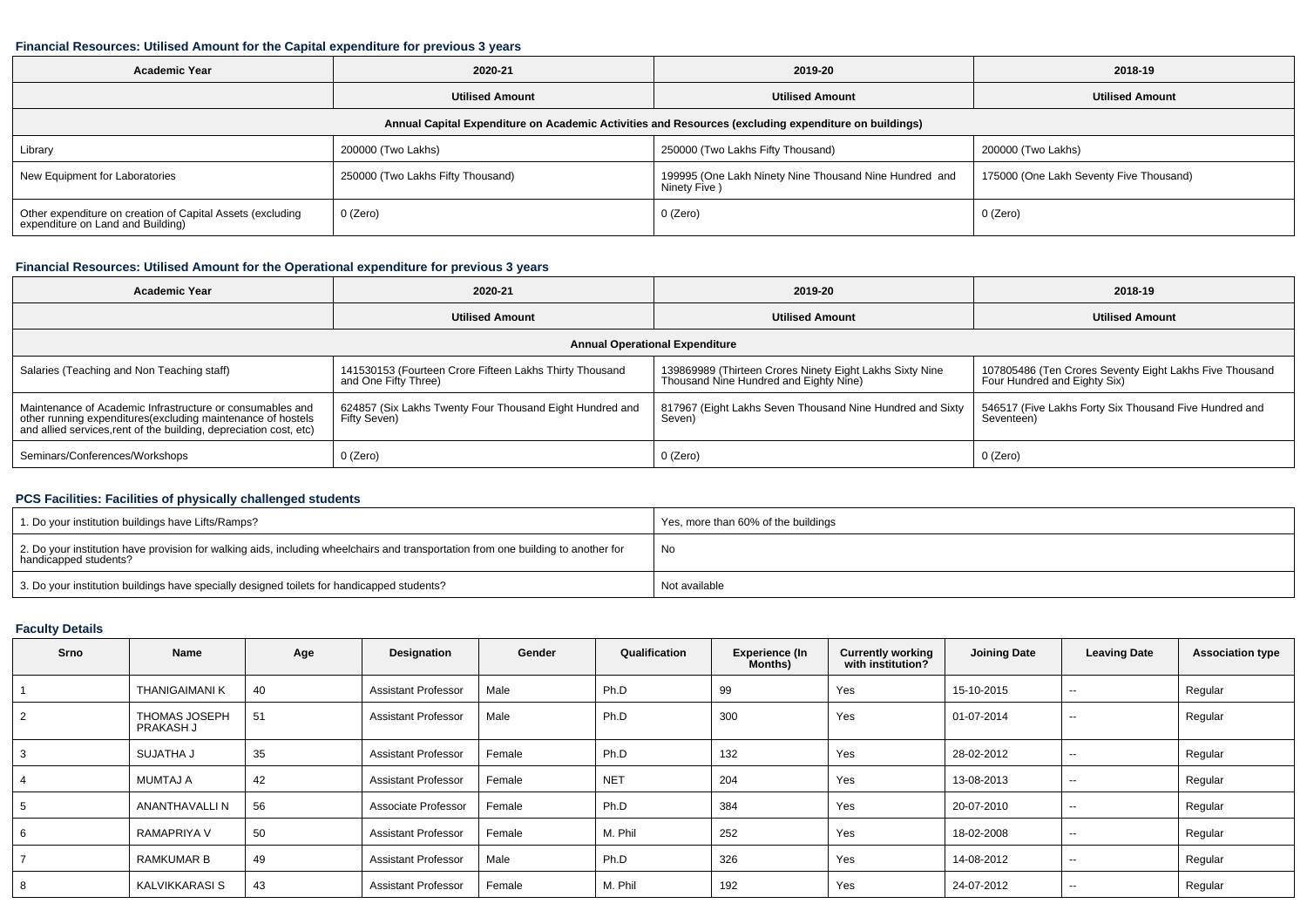#### **Financial Resources: Utilised Amount for the Capital expenditure for previous 3 years**

| <b>Academic Year</b>                                                                                 | 2020-21                           |                                                                         | 2018-19                                 |  |  |  |  |  |  |  |
|------------------------------------------------------------------------------------------------------|-----------------------------------|-------------------------------------------------------------------------|-----------------------------------------|--|--|--|--|--|--|--|
|                                                                                                      | <b>Utilised Amount</b>            | <b>Utilised Amount</b>                                                  | <b>Utilised Amount</b>                  |  |  |  |  |  |  |  |
| Annual Capital Expenditure on Academic Activities and Resources (excluding expenditure on buildings) |                                   |                                                                         |                                         |  |  |  |  |  |  |  |
| Library                                                                                              | 200000 (Two Lakhs)                | 250000 (Two Lakhs Fifty Thousand)                                       | 200000 (Two Lakhs)                      |  |  |  |  |  |  |  |
| New Equipment for Laboratories                                                                       | 250000 (Two Lakhs Fifty Thousand) | 199995 (One Lakh Ninety Nine Thousand Nine Hundred and<br>Ninety Five ) | 175000 (One Lakh Seventy Five Thousand) |  |  |  |  |  |  |  |
| Other expenditure on creation of Capital Assets (excluding<br>expenditure on Land and Building)      | 0 (Zero)                          | 0 (Zero)                                                                | 0 (Zero)                                |  |  |  |  |  |  |  |

# **Financial Resources: Utilised Amount for the Operational expenditure for previous 3 years**

| <b>Academic Year</b>                                                                                                                                                                            | 2020-21                                                                         | 2019-20                                                                                            | 2018-19                                                                                 |  |  |  |  |  |  |  |
|-------------------------------------------------------------------------------------------------------------------------------------------------------------------------------------------------|---------------------------------------------------------------------------------|----------------------------------------------------------------------------------------------------|-----------------------------------------------------------------------------------------|--|--|--|--|--|--|--|
|                                                                                                                                                                                                 | <b>Utilised Amount</b>                                                          | <b>Utilised Amount</b>                                                                             | <b>Utilised Amount</b>                                                                  |  |  |  |  |  |  |  |
| <b>Annual Operational Expenditure</b>                                                                                                                                                           |                                                                                 |                                                                                                    |                                                                                         |  |  |  |  |  |  |  |
| Salaries (Teaching and Non Teaching staff)                                                                                                                                                      | 141530153 (Fourteen Crore Fifteen Lakhs Thirty Thousand<br>and One Fifty Three) | 139869989 (Thirteen Crores Ninety Eight Lakhs Sixty Nine<br>Thousand Nine Hundred and Eighty Nine) | 107805486 (Ten Crores Seventy Eight Lakhs Five Thousand<br>Four Hundred and Eighty Six) |  |  |  |  |  |  |  |
| Maintenance of Academic Infrastructure or consumables and<br>other running expenditures (excluding maintenance of hostels<br>and allied services, rent of the building, depreciation cost, etc) | 624857 (Six Lakhs Twenty Four Thousand Eight Hundred and<br>Fifty Seven)        | 817967 (Eight Lakhs Seven Thousand Nine Hundred and Sixty<br>Seven)                                | 546517 (Five Lakhs Forty Six Thousand Five Hundred and<br>Seventeen)                    |  |  |  |  |  |  |  |
| Seminars/Conferences/Workshops                                                                                                                                                                  | 0 (Zero)                                                                        | $0$ (Zero)                                                                                         | 0 (Zero)                                                                                |  |  |  |  |  |  |  |

# **PCS Facilities: Facilities of physically challenged students**

| 1. Do your institution buildings have Lifts/Ramps?                                                                                                         | Yes, more than 60% of the buildings |
|------------------------------------------------------------------------------------------------------------------------------------------------------------|-------------------------------------|
| 2. Do your institution have provision for walking aids, including wheelchairs and transportation from one building to another for<br>handicapped students? | No                                  |
| 3. Do your institution buildings have specially designed toilets for handicapped students?                                                                 | Not available                       |

# **Faculty Details**

| Srno | Name                              | Age | Designation                | Gender | Qualification | <b>Experience (In</b><br>Months) | <b>Currently working</b><br>with institution? | <b>Joining Date</b> | <b>Leaving Date</b>      | <b>Association type</b> |
|------|-----------------------------------|-----|----------------------------|--------|---------------|----------------------------------|-----------------------------------------------|---------------------|--------------------------|-------------------------|
|      | <b>THANIGAIMANI K</b>             | 40  | <b>Assistant Professor</b> | Male   | Ph.D          | 99                               | Yes                                           | 15-10-2015          | $- -$                    | Regular                 |
|      | <b>THOMAS JOSEPH</b><br>PRAKASH J | 51  | <b>Assistant Professor</b> | Male   | Ph.D          | 300                              | Yes                                           | 01-07-2014          | $- -$                    | Regular                 |
|      | SUJATHA J                         | 35  | <b>Assistant Professor</b> | Female | Ph.D          | 132                              | Yes                                           | 28-02-2012          | $\overline{\phantom{a}}$ | Regular                 |
|      | MUMTAJ A                          | 42  | <b>Assistant Professor</b> | Female | <b>NET</b>    | 204                              | Yes                                           | 13-08-2013          | $\sim$                   | Regular                 |
|      | ANANTHAVALLI N                    | 56  | Associate Professor        | Female | Ph.D          | 384                              | Yes                                           | 20-07-2010          | $- -$                    | Regular                 |
|      | <b>RAMAPRIYA V</b>                | 50  | <b>Assistant Professor</b> | Female | M. Phil       | 252                              | Yes                                           | 18-02-2008          | $\sim$                   | Regular                 |
|      | RAMKUMAR B                        | 49  | <b>Assistant Professor</b> | Male   | Ph.D          | 326                              | Yes                                           | 14-08-2012          | $\overline{\phantom{a}}$ | Regular                 |
|      | KALVIKKARASI S                    | 43  | <b>Assistant Professor</b> | Female | M. Phil       | 192                              | Yes                                           | 24-07-2012          | $\overline{\phantom{a}}$ | Regular                 |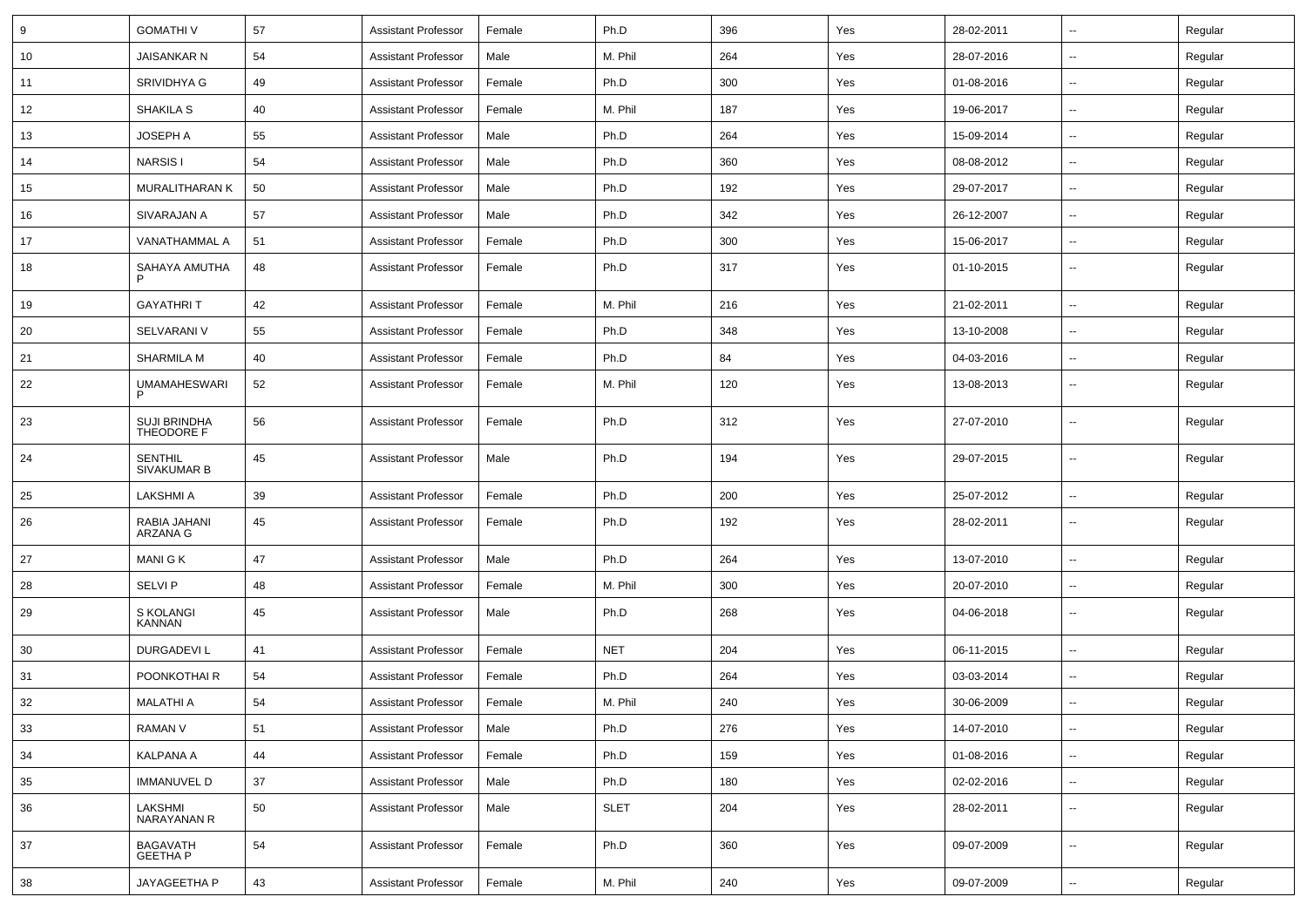| 9  | <b>GOMATHIV</b>                    | 57 | <b>Assistant Professor</b> | Female | Ph.D        | 396 | Yes | 28-02-2011 | $\overline{\phantom{a}}$ | Regular |
|----|------------------------------------|----|----------------------------|--------|-------------|-----|-----|------------|--------------------------|---------|
| 10 | JAISANKAR N                        | 54 | <b>Assistant Professor</b> | Male   | M. Phil     | 264 | Yes | 28-07-2016 | $\overline{\phantom{a}}$ | Regular |
| 11 | SRIVIDHYA G                        | 49 | <b>Assistant Professor</b> | Female | Ph.D        | 300 | Yes | 01-08-2016 |                          | Regular |
| 12 | <b>SHAKILA S</b>                   | 40 | <b>Assistant Professor</b> | Female | M. Phil     | 187 | Yes | 19-06-2017 | --                       | Regular |
| 13 | JOSEPH A                           | 55 | <b>Assistant Professor</b> | Male   | Ph.D        | 264 | Yes | 15-09-2014 | $\overline{\phantom{a}}$ | Regular |
| 14 | <b>NARSIS1</b>                     | 54 | <b>Assistant Professor</b> | Male   | Ph.D        | 360 | Yes | 08-08-2012 | $\overline{a}$           | Regular |
| 15 | MURALITHARAN K                     | 50 | <b>Assistant Professor</b> | Male   | Ph.D        | 192 | Yes | 29-07-2017 | $\overline{\phantom{a}}$ | Regular |
| 16 | SIVARAJAN A                        | 57 | <b>Assistant Professor</b> | Male   | Ph.D        | 342 | Yes | 26-12-2007 | $\overline{\phantom{a}}$ | Regular |
| 17 | VANATHAMMAL A                      | 51 | <b>Assistant Professor</b> | Female | Ph.D        | 300 | Yes | 15-06-2017 | --                       | Regular |
| 18 | SAHAYA AMUTHA                      | 48 | <b>Assistant Professor</b> | Female | Ph.D        | 317 | Yes | 01-10-2015 | --                       | Regular |
| 19 | <b>GAYATHRIT</b>                   | 42 | <b>Assistant Professor</b> | Female | M. Phil     | 216 | Yes | 21-02-2011 | $\overline{\phantom{a}}$ | Regular |
| 20 | SELVARANI V                        | 55 | <b>Assistant Professor</b> | Female | Ph.D        | 348 | Yes | 13-10-2008 | --                       | Regular |
| 21 | <b>SHARMILA M</b>                  | 40 | <b>Assistant Professor</b> | Female | Ph.D        | 84  | Yes | 04-03-2016 | $\overline{\phantom{a}}$ | Regular |
| 22 | <b>UMAMAHESWARI</b>                | 52 | <b>Assistant Professor</b> | Female | M. Phil     | 120 | Yes | 13-08-2013 | ⊷.                       | Regular |
| 23 | <b>SUJI BRINDHA</b><br>THEODORE F  | 56 | <b>Assistant Professor</b> | Female | Ph.D        | 312 | Yes | 27-07-2010 | $\overline{\phantom{a}}$ | Regular |
| 24 | <b>SENTHIL</b><br>SIVAKUMAR B      | 45 | <b>Assistant Professor</b> | Male   | Ph.D        | 194 | Yes | 29-07-2015 | $\overline{\phantom{a}}$ | Regular |
| 25 | <b>LAKSHMI A</b>                   | 39 | <b>Assistant Professor</b> | Female | Ph.D        | 200 | Yes | 25-07-2012 | $\overline{\phantom{a}}$ | Regular |
| 26 | RABIA JAHANI<br>ARZANA G           | 45 | <b>Assistant Professor</b> | Female | Ph.D        | 192 | Yes | 28-02-2011 | $\overline{\phantom{a}}$ | Regular |
| 27 | MANI G K                           | 47 | <b>Assistant Professor</b> | Male   | Ph.D        | 264 | Yes | 13-07-2010 | н.                       | Regular |
| 28 | SELVI P                            | 48 | <b>Assistant Professor</b> | Female | M. Phil     | 300 | Yes | 20-07-2010 | --                       | Regular |
| 29 | S KOLANGI<br>KANNAN                | 45 | <b>Assistant Professor</b> | Male   | Ph.D        | 268 | Yes | 04-06-2018 | $\overline{\phantom{a}}$ | Regular |
| 30 | <b>DURGADEVIL</b>                  | 41 | <b>Assistant Professor</b> | Female | <b>NET</b>  | 204 | Yes | 06-11-2015 | $\overline{\phantom{a}}$ | Regular |
| 31 | POONKOTHAI R                       | 54 | <b>Assistant Professor</b> | Female | Ph.D        | 264 | Yes | 03-03-2014 | $\overline{\phantom{a}}$ | Regular |
| 32 | <b>MALATHI A</b>                   | 54 | <b>Assistant Professor</b> | Female | M. Phil     | 240 | Yes | 30-06-2009 | --                       | Regular |
| 33 | <b>RAMAN V</b>                     | 51 | <b>Assistant Professor</b> | Male   | Ph.D        | 276 | Yes | 14-07-2010 | $\sim$                   | Regular |
| 34 | <b>KALPANA A</b>                   | 44 | <b>Assistant Professor</b> | Female | Ph.D        | 159 | Yes | 01-08-2016 | $\sim$                   | Regular |
| 35 | <b>IMMANUVEL D</b>                 | 37 | <b>Assistant Professor</b> | Male   | Ph.D        | 180 | Yes | 02-02-2016 | н.                       | Regular |
| 36 | LAKSHMI<br>NARAYANAN R             | 50 | <b>Assistant Professor</b> | Male   | <b>SLET</b> | 204 | Yes | 28-02-2011 | $\overline{\phantom{a}}$ | Regular |
| 37 | <b>BAGAVATH</b><br><b>GEETHA P</b> | 54 | <b>Assistant Professor</b> | Female | Ph.D        | 360 | Yes | 09-07-2009 | Ξ.                       | Regular |
| 38 | JAYAGEETHA P                       | 43 | <b>Assistant Professor</b> | Female | M. Phil     | 240 | Yes | 09-07-2009 | Щ,                       | Regular |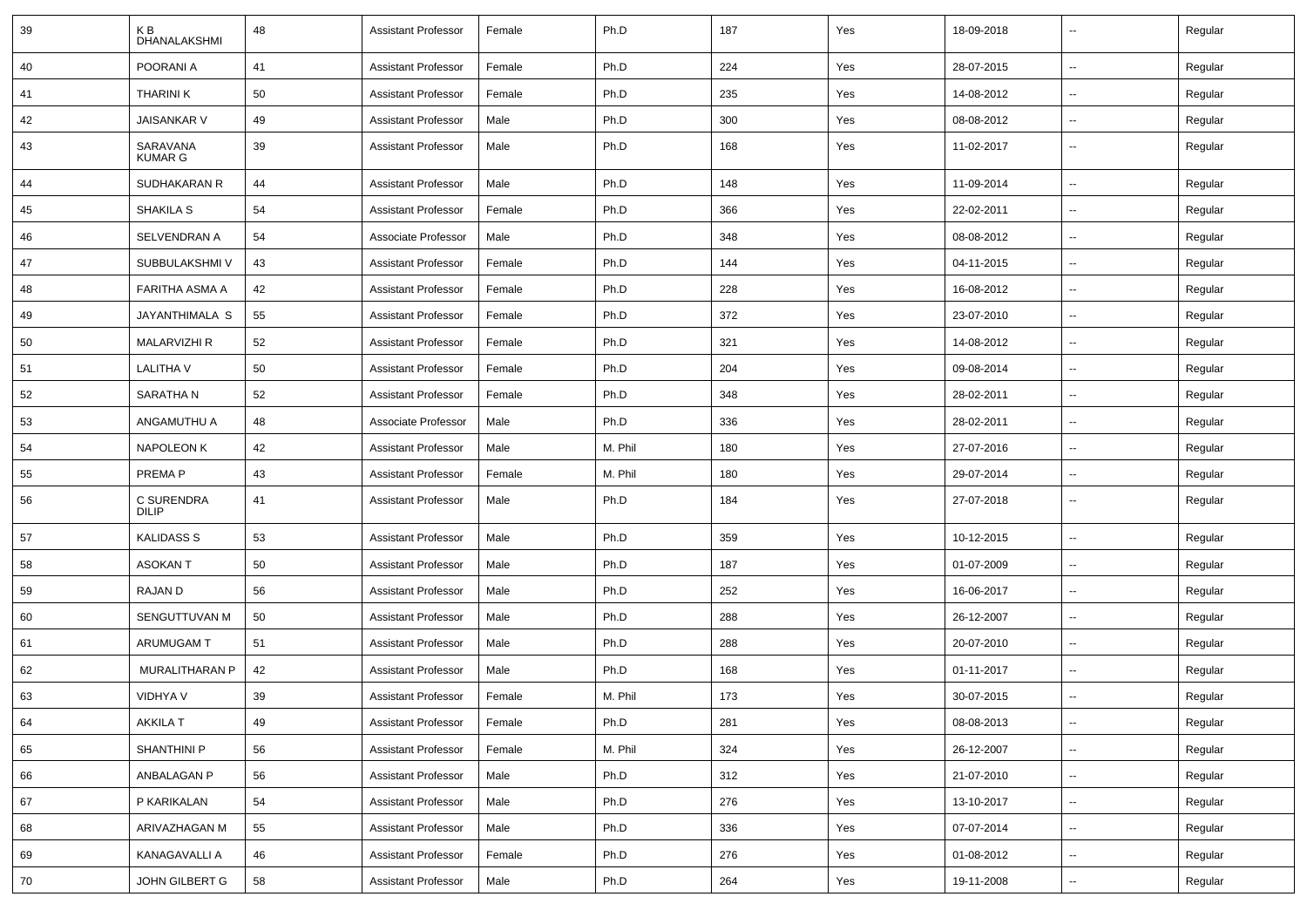| 39 | K B<br><b>DHANALAKSHMI</b> | 48 | <b>Assistant Professor</b> | Female | Ph.D    | 187 | Yes | 18-09-2018 | --                       | Regular |
|----|----------------------------|----|----------------------------|--------|---------|-----|-----|------------|--------------------------|---------|
| 40 | POORANI A                  | 41 | <b>Assistant Professor</b> | Female | Ph.D    | 224 | Yes | 28-07-2015 | $\overline{\phantom{a}}$ | Regular |
| 41 | <b>THARINI K</b>           | 50 | <b>Assistant Professor</b> | Female | Ph.D    | 235 | Yes | 14-08-2012 | -−                       | Regular |
| 42 | <b>JAISANKAR V</b>         | 49 | <b>Assistant Professor</b> | Male   | Ph.D    | 300 | Yes | 08-08-2012 | н.                       | Regular |
| 43 | SARAVANA<br><b>KUMAR G</b> | 39 | <b>Assistant Professor</b> | Male   | Ph.D    | 168 | Yes | 11-02-2017 | $\overline{\phantom{a}}$ | Regular |
| 44 | SUDHAKARAN R               | 44 | <b>Assistant Professor</b> | Male   | Ph.D    | 148 | Yes | 11-09-2014 | $\overline{\phantom{a}}$ | Regular |
| 45 | <b>SHAKILA S</b>           | 54 | <b>Assistant Professor</b> | Female | Ph.D    | 366 | Yes | 22-02-2011 | --                       | Regular |
| 46 | SELVENDRAN A               | 54 | Associate Professor        | Male   | Ph.D    | 348 | Yes | 08-08-2012 | ⊷.                       | Regular |
| 47 | SUBBULAKSHMI V             | 43 | <b>Assistant Professor</b> | Female | Ph.D    | 144 | Yes | 04-11-2015 | ⊶.                       | Regular |
| 48 | <b>FARITHA ASMA A</b>      | 42 | <b>Assistant Professor</b> | Female | Ph.D    | 228 | Yes | 16-08-2012 | --                       | Regular |
| 49 | JAYANTHIMALA S             | 55 | <b>Assistant Professor</b> | Female | Ph.D    | 372 | Yes | 23-07-2010 | -−                       | Regular |
| 50 | <b>MALARVIZHI R</b>        | 52 | <b>Assistant Professor</b> | Female | Ph.D    | 321 | Yes | 14-08-2012 | $\overline{a}$           | Regular |
| 51 | <b>LALITHA V</b>           | 50 | <b>Assistant Professor</b> | Female | Ph.D    | 204 | Yes | 09-08-2014 | --                       | Regular |
| 52 | SARATHA N                  | 52 | <b>Assistant Professor</b> | Female | Ph.D    | 348 | Yes | 28-02-2011 | ⊷.                       | Regular |
| 53 | ANGAMUTHU A                | 48 | Associate Professor        | Male   | Ph.D    | 336 | Yes | 28-02-2011 | −−                       | Regular |
| 54 | <b>NAPOLEON K</b>          | 42 | <b>Assistant Professor</b> | Male   | M. Phil | 180 | Yes | 27-07-2016 | н.                       | Regular |
| 55 | PREMA P                    | 43 | <b>Assistant Professor</b> | Female | M. Phil | 180 | Yes | 29-07-2014 | ⊷.                       | Regular |
| 56 | C SURENDRA<br>DILIP        | 41 | <b>Assistant Professor</b> | Male   | Ph.D    | 184 | Yes | 27-07-2018 | --                       | Regular |
| 57 | <b>KALIDASS S</b>          | 53 | <b>Assistant Professor</b> | Male   | Ph.D    | 359 | Yes | 10-12-2015 | $\overline{\phantom{a}}$ | Regular |
| 58 | <b>ASOKANT</b>             | 50 | <b>Assistant Professor</b> | Male   | Ph.D    | 187 | Yes | 01-07-2009 | --                       | Regular |
| 59 | RAJAN D                    | 56 | <b>Assistant Professor</b> | Male   | Ph.D    | 252 | Yes | 16-06-2017 | ⊷.                       | Regular |
| 60 | SENGUTTUVAN M              | 50 | <b>Assistant Professor</b> | Male   | Ph.D    | 288 | Yes | 26-12-2007 | $\overline{\phantom{a}}$ | Regular |
| 61 | ARUMUGAM T                 | 51 | <b>Assistant Professor</b> | Male   | Ph.D    | 288 | Yes | 20-07-2010 | --                       | Regular |
| 62 | MURALITHARAN P             | 42 | <b>Assistant Professor</b> | Male   | Ph.D    | 168 | Yes | 01-11-2017 | $\overline{\phantom{a}}$ | Regular |
| 63 | <b>VIDHYA V</b>            | 39 | <b>Assistant Professor</b> | Female | M. Phil | 173 | Yes | 30-07-2015 |                          | Regular |
| 64 | <b>AKKILA T</b>            | 49 | <b>Assistant Professor</b> | Female | Ph.D    | 281 | Yes | 08-08-2013 | $\sim$                   | Regular |
| 65 | SHANTHINI P                | 56 | <b>Assistant Professor</b> | Female | M. Phil | 324 | Yes | 26-12-2007 | Щ,                       | Regular |
| 66 | ANBALAGAN P                | 56 | <b>Assistant Professor</b> | Male   | Ph.D    | 312 | Yes | 21-07-2010 | Щ,                       | Regular |
| 67 | P KARIKALAN                | 54 | <b>Assistant Professor</b> | Male   | Ph.D    | 276 | Yes | 13-10-2017 | $\overline{\phantom{a}}$ | Regular |
| 68 | ARIVAZHAGAN M              | 55 | <b>Assistant Professor</b> | Male   | Ph.D    | 336 | Yes | 07-07-2014 | $\overline{\phantom{a}}$ | Regular |
| 69 | KANAGAVALLI A              | 46 | <b>Assistant Professor</b> | Female | Ph.D    | 276 | Yes | 01-08-2012 | $\overline{\phantom{a}}$ | Regular |
| 70 | JOHN GILBERT G             | 58 | <b>Assistant Professor</b> | Male   | Ph.D    | 264 | Yes | 19-11-2008 | ⊶.                       | Regular |